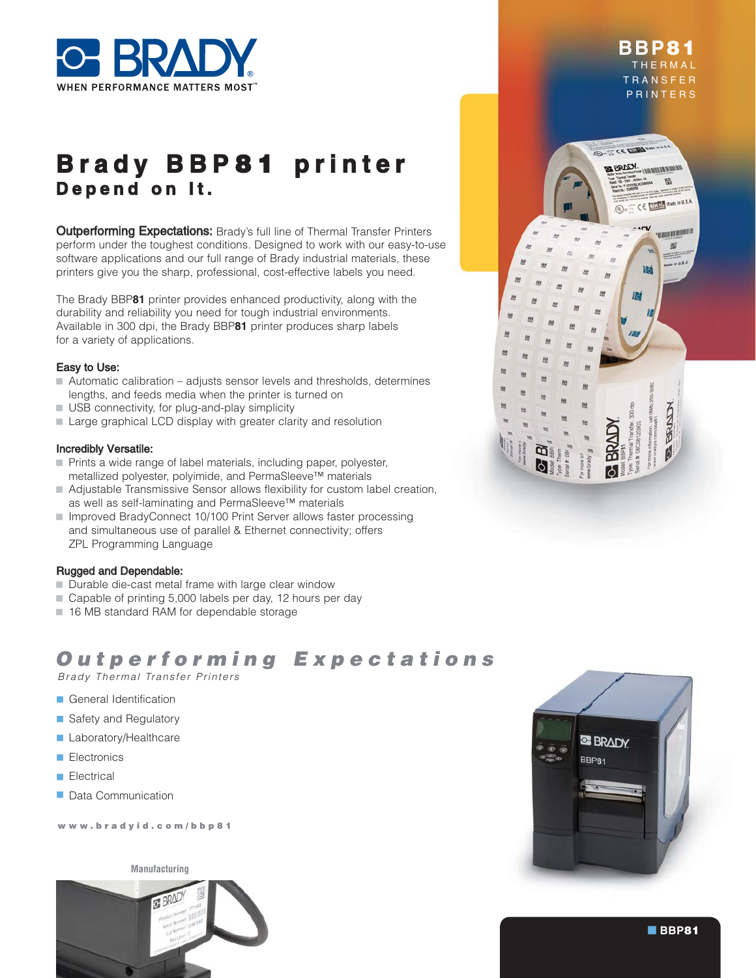

# **B r a d y B B P** 8 1 **p r i n t e r D e p e n d o n I t .**

**Outperforming Expectations:** Brady's full line of Thermal Transfer Printers perform under the toughest conditions. Designed to work with our easy-to-use software applications and our full range of Brady industrial materials, these printers give you the sharp, professional, cost-effective labels you need.

The Brady BBP**81** printer provides enhanced productivity, along with the durability and reliability you need for tough industrial environments. Available in 300 dpi, the Brady BBP**81** printer produces sharp labels for a variety of applications.

#### Easy to Use:

- Automatic calibration adjusts sensor levels and thresholds, determines lengths, and feeds media when the printer is turned on
- USB connectivity, for plug-and-play simplicity
- Large graphical LCD display with greater clarity and resolution

#### Incredibly Versatile:

- Prints a wide range of label materials, including paper, polyester, metallized polyester, polyimide, and PermaSleeve™ materials
- Adjustable Transmissive Sensor allows flexibility for custom label creation, as well as self-laminating and PermaSleeve™ materials
- Improved BradyConnect 10/100 Print Server allows faster processing and simultaneous use of parallel & Ethernet connectivity; offers ZPL Programming Language

#### Rugged and Dependable:

- Durable die-cast metal frame with large clear window
- Capable of printing 5,000 labels per day, 12 hours per day
- 16 MB standard RAM for dependable storage

## Outperforming Expectations

Brady Thermal Transfer Printers

- General Identification
- Safety and Regulatory
- Laboratory/Healthcare
- Electronics
- Electrical
- Data Communication

www.bradyid.com/bbp81

**Manufacturing**